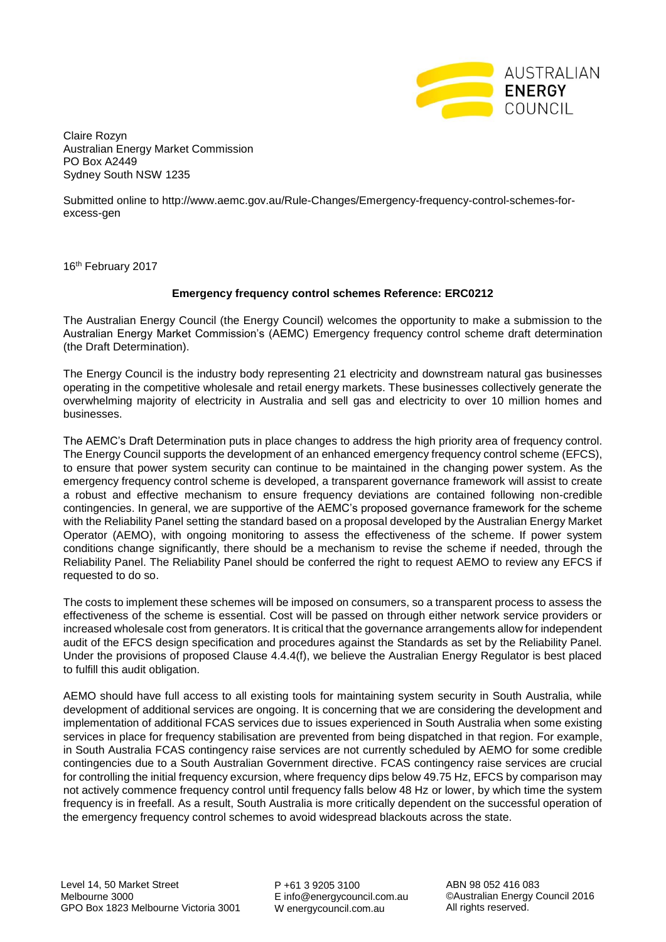

Claire Rozyn Australian Energy Market Commission PO Box A2449 Sydney South NSW 1235

Submitted online to http://www.aemc.gov.au/Rule-Changes/Emergency-frequency-control-schemes-forexcess-gen

16<sup>th</sup> February 2017

## **Emergency frequency control schemes Reference: ERC0212**

The Australian Energy Council (the Energy Council) welcomes the opportunity to make a submission to the Australian Energy Market Commission's (AEMC) Emergency frequency control scheme draft determination (the Draft Determination).

The Energy Council is the industry body representing 21 electricity and downstream natural gas businesses operating in the competitive wholesale and retail energy markets. These businesses collectively generate the overwhelming majority of electricity in Australia and sell gas and electricity to over 10 million homes and businesses.

The AEMC's Draft Determination puts in place changes to address the high priority area of frequency control. The Energy Council supports the development of an enhanced emergency frequency control scheme (EFCS), to ensure that power system security can continue to be maintained in the changing power system. As the emergency frequency control scheme is developed, a transparent governance framework will assist to create a robust and effective mechanism to ensure frequency deviations are contained following non-credible contingencies. In general, we are supportive of the AEMC's proposed governance framework for the scheme with the Reliability Panel setting the standard based on a proposal developed by the Australian Energy Market Operator (AEMO), with ongoing monitoring to assess the effectiveness of the scheme. If power system conditions change significantly, there should be a mechanism to revise the scheme if needed, through the Reliability Panel. The Reliability Panel should be conferred the right to request AEMO to review any EFCS if requested to do so.

The costs to implement these schemes will be imposed on consumers, so a transparent process to assess the effectiveness of the scheme is essential. Cost will be passed on through either network service providers or increased wholesale cost from generators. It is critical that the governance arrangements allow for independent audit of the EFCS design specification and procedures against the Standards as set by the Reliability Panel. Under the provisions of proposed Clause 4.4.4(f), we believe the Australian Energy Regulator is best placed to fulfill this audit obligation.

AEMO should have full access to all existing tools for maintaining system security in South Australia, while development of additional services are ongoing. It is concerning that we are considering the development and implementation of additional FCAS services due to issues experienced in South Australia when some existing services in place for frequency stabilisation are prevented from being dispatched in that region. For example, in South Australia FCAS contingency raise services are not currently scheduled by AEMO for some credible contingencies due to a South Australian Government directive. FCAS contingency raise services are crucial for controlling the initial frequency excursion, where frequency dips below 49.75 Hz, EFCS by comparison may not actively commence frequency control until frequency falls below 48 Hz or lower, by which time the system frequency is in freefall. As a result, South Australia is more critically dependent on the successful operation of the emergency frequency control schemes to avoid widespread blackouts across the state.

P +61 3 9205 3100 E info@energycouncil.com.au W energycouncil.com.au

ABN 98 052 416 083 ©Australian Energy Council 2016 All rights reserved.